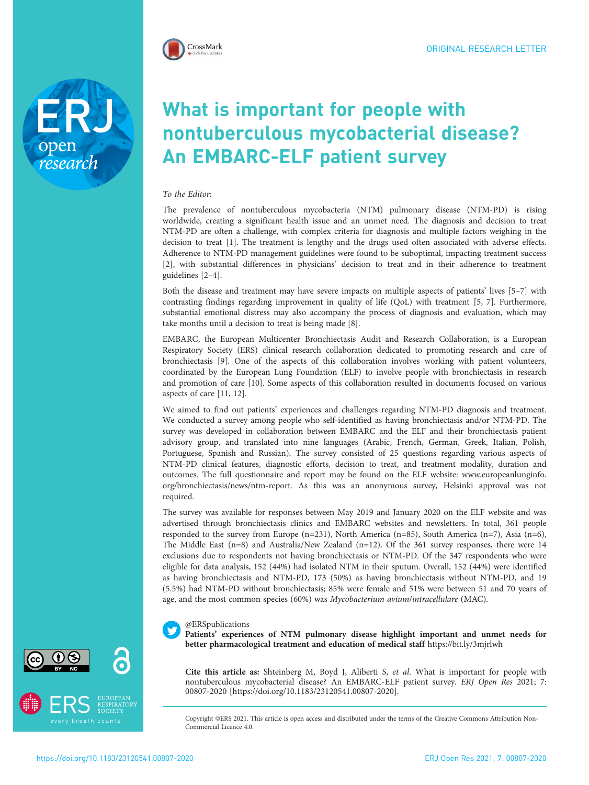

open<br>research

# What is important for people with nontuberculous mycobacterial disease? An EMBARC-ELF patient survey

## To the Editor:

The prevalence of nontuberculous mycobacteria (NTM) pulmonary disease (NTM-PD) is rising worldwide, creating a significant health issue and an unmet need. The diagnosis and decision to treat NTM-PD are often a challenge, with complex criteria for diagnosis and multiple factors weighing in the decision to treat [[1](#page-3-0)]. The treatment is lengthy and the drugs used often associated with adverse effects. Adherence to NTM-PD management guidelines were found to be suboptimal, impacting treatment success [[2\]](#page-3-0), with substantial differences in physicians' decision to treat and in their adherence to treatment guidelines [\[2](#page-3-0)–[4](#page-3-0)].

Both the disease and treatment may have severe impacts on multiple aspects of patients' lives [\[5](#page-3-0)–[7](#page-3-0)] with contrasting findings regarding improvement in quality of life (QoL) with treatment [\[5](#page-3-0), [7](#page-3-0)]. Furthermore, substantial emotional distress may also accompany the process of diagnosis and evaluation, which may take months until a decision to treat is being made [[8](#page-3-0)].

EMBARC, the European Multicenter Bronchiectasis Audit and Research Collaboration, is a European Respiratory Society (ERS) clinical research collaboration dedicated to promoting research and care of bronchiectasis [[9](#page-3-0)]. One of the aspects of this collaboration involves working with patient volunteers, coordinated by the European Lung Foundation (ELF) to involve people with bronchiectasis in research and promotion of care [[10\]](#page-3-0). Some aspects of this collaboration resulted in documents focused on various aspects of care [[11](#page-3-0), [12\]](#page-3-0).

We aimed to find out patients' experiences and challenges regarding NTM-PD diagnosis and treatment. We conducted a survey among people who self-identified as having bronchiectasis and/or NTM-PD. The survey was developed in collaboration between EMBARC and the ELF and their bronchiectasis patient advisory group, and translated into nine languages (Arabic, French, German, Greek, Italian, Polish, Portuguese, Spanish and Russian). The survey consisted of 25 questions regarding various aspects of NTM-PD clinical features, diagnostic efforts, decision to treat, and treatment modality, duration and outcomes. The full questionnaire and report may be found on the ELF website: [www.europeanlunginfo.](http://www.europeanlunginfo.org/bronchiectasis/news/ntm-report) [org/bronchiectasis/news/ntm-report.](http://www.europeanlunginfo.org/bronchiectasis/news/ntm-report) As this was an anonymous survey, Helsinki approval was not required.

The survey was available for responses between May 2019 and January 2020 on the ELF website and was advertised through bronchiectasis clinics and EMBARC websites and newsletters. In total, 361 people responded to the survey from Europe (n=231), North America (n=85), South America (n=7), Asia (n=6), The Middle East (n=8) and Australia/New Zealand (n=12). Of the 361 survey responses, there were 14 exclusions due to respondents not having bronchiectasis or NTM-PD. Of the 347 respondents who were eligible for data analysis, 152 (44%) had isolated NTM in their sputum. Overall, 152 (44%) were identified as having bronchiectasis and NTM-PD, 173 (50%) as having bronchiectasis without NTM-PD, and 19 (5.5%) had NTM-PD without bronchiectasis; 85% were female and 51% were between 51 and 70 years of age, and the most common species (60%) was Mycobacterium avium/intracellulare (MAC).

### @ERSpublications

Patients' experiences of NTM pulmonary disease highlight important and unmet needs for better pharmacological treatment and education of medical staff <https://bit.ly/3mjrlwh>

Cite this article as: Shteinberg M, Boyd J, Aliberti S, et al. What is important for people with nontuberculous mycobacterial disease? An EMBARC-ELF patient survey. ERJ Open Res 2021; 7: 00807-2020 [\[https://doi.org/10.1183/23120541.00807-2020\].](https://doi.org/10.1183/23120541.00807-2020)

Copyright ©ERS 2021. This article is open access and distributed under the terms of the Creative Commons Attribution Non-Commercial Licence 4.0.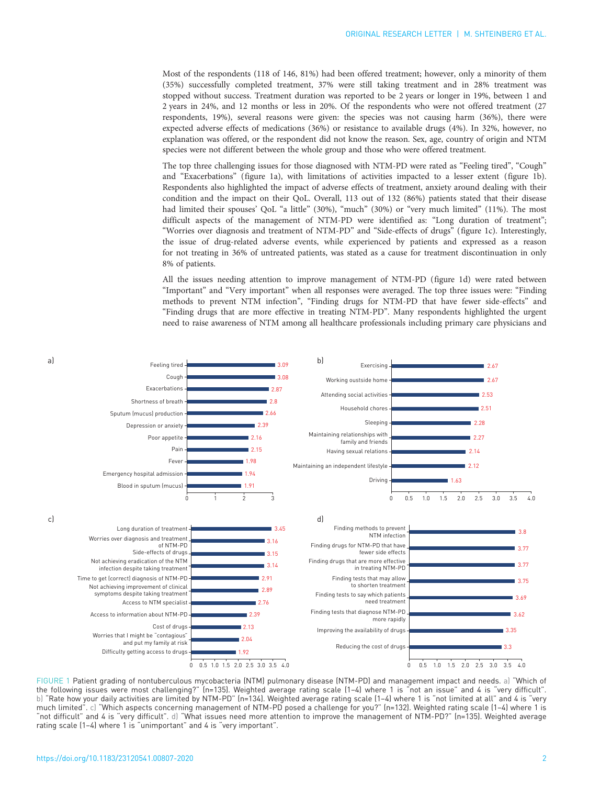Most of the respondents (118 of 146, 81%) had been offered treatment; however, only a minority of them (35%) successfully completed treatment, 37% were still taking treatment and in 28% treatment was stopped without success. Treatment duration was reported to be 2 years or longer in 19%, between 1 and 2 years in 24%, and 12 months or less in 20%. Of the respondents who were not offered treatment (27 respondents, 19%), several reasons were given: the species was not causing harm (36%), there were expected adverse effects of medications (36%) or resistance to available drugs (4%). In 32%, however, no explanation was offered, or the respondent did not know the reason. Sex, age, country of origin and NTM species were not different between the whole group and those who were offered treatment.

The top three challenging issues for those diagnosed with NTM-PD were rated as "Feeling tired", "Cough" and "Exacerbations" (figure 1a), with limitations of activities impacted to a lesser extent (figure 1b). Respondents also highlighted the impact of adverse effects of treatment, anxiety around dealing with their condition and the impact on their QoL. Overall, 113 out of 132 (86%) patients stated that their disease had limited their spouses' QoL "a little" (30%), "much" (30%) or "very much limited" (11%). The most difficult aspects of the management of NTM-PD were identified as: "Long duration of treatment"; "Worries over diagnosis and treatment of NTM-PD" and "Side-effects of drugs" (figure 1c). Interestingly, the issue of drug-related adverse events, while experienced by patients and expressed as a reason for not treating in 36% of untreated patients, was stated as a cause for treatment discontinuation in only 8% of patients.

All the issues needing attention to improve management of NTM-PD (figure 1d) were rated between "Important" and "Very important" when all responses were averaged. The top three issues were: "Finding methods to prevent NTM infection", "Finding drugs for NTM-PD that have fewer side-effects" and "Finding drugs that are more effective in treating NTM-PD". Many respondents highlighted the urgent need to raise awareness of NTM among all healthcare professionals including primary care physicians and



FIGURE 1 Patient grading of nontuberculous mycobacteria (NTM) pulmonary disease (NTM-PD) and management impact and needs. a) "Which of the following issues were most challenging?" (n=135). Weighted average rating scale (1–4) where 1 is "not an issue" and 4 is "very difficult". b) "Rate how your daily activities are limited by NTM-PD" (n=134). Weighted average rating scale (1–4) where 1 is "not limited at all" and 4 is "very much limited". c) "Which aspects concerning management of NTM-PD posed a challenge for you?" (n=132). Weighted rating scale (1–4) where 1 is "not difficult" and 4 is "very difficult". d) "What issues need more attention to improve the management of NTM-PD?" (n=135). Weighted average rating scale (1–4) where 1 is "unimportant" and 4 is "very important".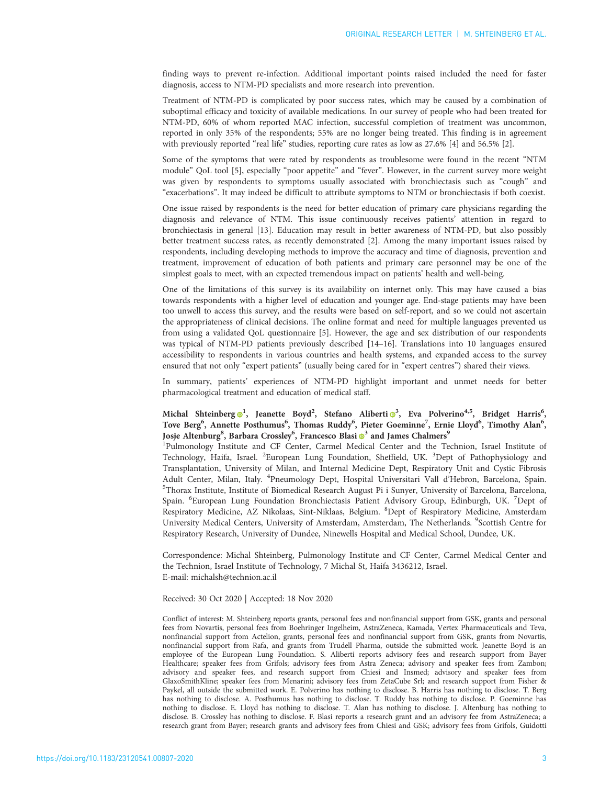finding ways to prevent re-infection. Additional important points raised included the need for faster diagnosis, access to NTM-PD specialists and more research into prevention.

Treatment of NTM-PD is complicated by poor success rates, which may be caused by a combination of suboptimal efficacy and toxicity of available medications. In our survey of people who had been treated for NTM-PD, 60% of whom reported MAC infection, successful completion of treatment was uncommon, reported in only 35% of the respondents; 55% are no longer being treated. This finding is in agreement with previously reported "real life" studies, reporting cure rates as low as 27.6% [\[4](#page-3-0)] and 56.5% [[2](#page-3-0)].

Some of the symptoms that were rated by respondents as troublesome were found in the recent "NTM module" QoL tool [\[5\]](#page-3-0), especially "poor appetite" and "fever". However, in the current survey more weight was given by respondents to symptoms usually associated with bronchiectasis such as "cough" and "exacerbations". It may indeed be difficult to attribute symptoms to NTM or bronchiectasis if both coexist.

One issue raised by respondents is the need for better education of primary care physicians regarding the diagnosis and relevance of NTM. This issue continuously receives patients' attention in regard to bronchiectasis in general [[13\]](#page-3-0). Education may result in better awareness of NTM-PD, but also possibly better treatment success rates, as recently demonstrated [[2](#page-3-0)]. Among the many important issues raised by respondents, including developing methods to improve the accuracy and time of diagnosis, prevention and treatment, improvement of education of both patients and primary care personnel may be one of the simplest goals to meet, with an expected tremendous impact on patients' health and well-being.

One of the limitations of this survey is its availability on internet only. This may have caused a bias towards respondents with a higher level of education and younger age. End-stage patients may have been too unwell to access this survey, and the results were based on self-report, and so we could not ascertain the appropriateness of clinical decisions. The online format and need for multiple languages prevented us from using a validated QoL questionnaire [[5\]](#page-3-0). However, the age and sex distribution of our respondents was typical of NTM-PD patients previously described [[14](#page-3-0)–[16](#page-3-0)]. Translations into 10 languages ensured accessibility to respondents in various countries and health systems, and expanded access to the survey ensured that not only "expert patients" (usually being cared for in "expert centres") shared their views.

In summary, patients' experiences of NTM-PD highlight important and unmet needs for better pharmacological treatment and education of medical staff.

## Michal Shteinberg <sup>1</sup>, Jeanette Boyd<sup>2</sup>, Stefano Aliberti <sup>3</sup>, Eva Polverino<sup>4,5</sup>, Bridget Harris<sup>6</sup>, Tove Berg<sup>6</sup>, Annette Posthumus<sup>6</sup>, Thomas Ruddy<sup>6</sup>, Pieter Goeminne<sup>7</sup>, Ernie Lloyd<sup>6</sup>, Timothy Alan<sup>6</sup>, Josje Altenburg<sup>8</sup>, Barbara Crossley<sup>6</sup>, Francesco Blasi **®**<sup>[3](https://orcid.org/0000-0002-2285-9970)</sup> and James Chalmers<sup>9</sup>

<sup>1</sup>Pulmonology Institute and CF Center, Carmel Medical Center and the Technion, Israel Institute of Technology, Haifa, Israel. <sup>2</sup>European Lung Foundation, Sheffield, UK. <sup>3</sup>Dept of Pathophysiology and Transplantation, University of Milan, and Internal Medicine Dept, Respiratory Unit and Cystic Fibrosis Adult Center, Milan, Italy. <sup>4</sup>Pneumology Dept, Hospital Universitari Vall d'Hebron, Barcelona, Spain.<br><sup>5</sup>Thorax Institute Institute of Biomedical Besearch August Pi i Sunyer University of Barcelona, Barcelona <sup>5</sup>Thorax Institute, Institute of Biomedical Research August Pi i Sunyer, University of Barcelona, Barcelona, Spain. <sup>6</sup>European Lung Foundation Bronchiectasis Patient Advisory Group, Edinburgh, UK. <sup>7</sup>Dept of Respiratory Medicine, AZ Nikolaas, Sint-Niklaas, Belgium. <sup>8</sup>Dept of Respiratory Medicine, Amsterdam University Medical Centers, University of Amsterdam, Amsterdam, The Netherlands. <sup>9</sup>Scottish Centre for Respiratory Research, University of Dundee, Ninewells Hospital and Medical School, Dundee, UK.

Correspondence: Michal Shteinberg, Pulmonology Institute and CF Center, Carmel Medical Center and the Technion, Israel Institute of Technology, 7 Michal St, Haifa 3436212, Israel. E-mail: [michalsh@technion.ac.il](mailto:michalsh@technion.ac.il)

#### Received: 30 Oct 2020 | Accepted: 18 Nov 2020

Conflict of interest: M. Shteinberg reports grants, personal fees and nonfinancial support from GSK, grants and personal fees from Novartis, personal fees from Boehringer Ingelheim, AstraZeneca, Kamada, Vertex Pharmaceuticals and Teva, nonfinancial support from Actelion, grants, personal fees and nonfinancial support from GSK, grants from Novartis, nonfinancial support from Rafa, and grants from Trudell Pharma, outside the submitted work. Jeanette Boyd is an employee of the European Lung Foundation. S. Aliberti reports advisory fees and research support from Bayer Healthcare; speaker fees from Grifols; advisory fees from Astra Zeneca; advisory and speaker fees from Zambon; advisory and speaker fees, and research support from Chiesi and Insmed; advisory and speaker fees from GlaxoSmithKline; speaker fees from Menarini; advisory fees from ZetaCube Srl; and research support from Fisher & Paykel, all outside the submitted work. E. Polverino has nothing to disclose. B. Harris has nothing to disclose. T. Berg has nothing to disclose. A. Posthumus has nothing to disclose. T. Ruddy has nothing to disclose. P. Goeminne has nothing to disclose. E. Lloyd has nothing to disclose. T. Alan has nothing to disclose. J. Altenburg has nothing to disclose. B. Crossley has nothing to disclose. F. Blasi reports a research grant and an advisory fee from AstraZeneca; a research grant from Bayer; research grants and advisory fees from Chiesi and GSK; advisory fees from Grifols, Guidotti